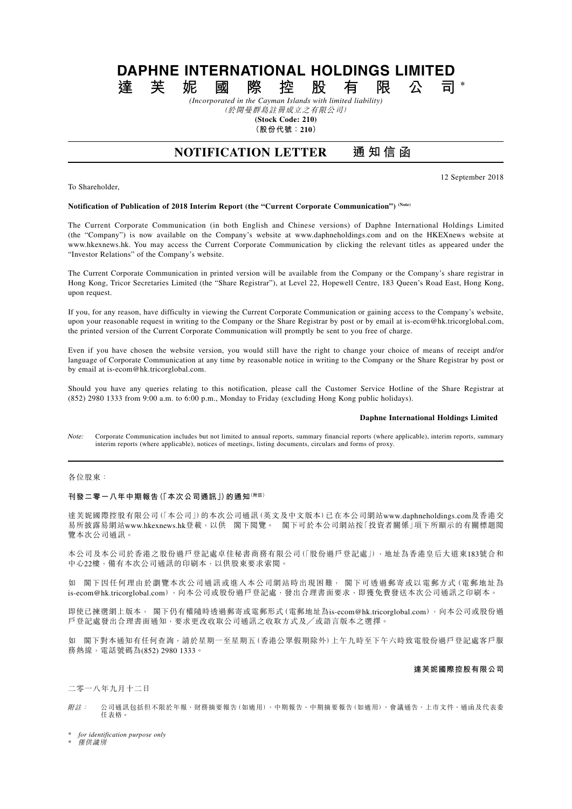# **DAPHNE INTERNATIONAL HOLDINGS LIMITED**<br>達 芙 妮 國 際 控 股 有 限 公 司 **達芙妮國際控股有限公司 \***

*(Incorporated in the Cayman Islands with limited liability)* (於開曼群島註冊成立之有限公司)

**(Stock Code: 210)**

**(股份代號:210)**

## **NOTIFICATION LETTER 通知信函**

12 September 2018

## To Shareholder,

#### **Notification of Publication of 2018 Interim Report (the "Current Corporate Communication") (Note)**

The Current Corporate Communication (in both English and Chinese versions) of Daphne International Holdings Limited (the "Company") is now available on the Company's website at www.daphneholdings.com and on the HKEXnews website at www.hkexnews.hk. You may access the Current Corporate Communication by clicking the relevant titles as appeared under the "Investor Relations" of the Company's website.

The Current Corporate Communication in printed version will be available from the Company or the Company's share registrar in Hong Kong, Tricor Secretaries Limited (the "Share Registrar"), at Level 22, Hopewell Centre, 183 Queen's Road East, Hong Kong, upon request.

If you, for any reason, have difficulty in viewing the Current Corporate Communication or gaining access to the Company's website, upon your reasonable request in writing to the Company or the Share Registrar by post or by email at is-ecom@hk.tricorglobal.com, the printed version of the Current Corporate Communication will promptly be sent to you free of charge.

Even if you have chosen the website version, you would still have the right to change your choice of means of receipt and/or language of Corporate Communication at any time by reasonable notice in writing to the Company or the Share Registrar by post or by email at is-ecom@hk.tricorglobal.com.

Should you have any queries relating to this notification, please call the Customer Service Hotline of the Share Registrar at (852) 2980 1333 from 9:00 a.m. to 6:00 p.m., Monday to Friday (excluding Hong Kong public holidays).

#### **Daphne International Holdings Limited**

Note: Corporate Communication includes but not limited to annual reports, summary financial reports (where applicable), interim reports, summary interim reports (where applicable), notices of meetings, listing documents, circulars and forms of proxy.

### 各位股東:

#### **刊發二零一八年中期報告(「本次公司通訊」)的通知(附註)**

達芙妮國際控股有限公司(「本公司」)的本次公司通訊(英文及中文版本)已在本公司網站www.daphneholdings.com及香港交 易所披露易網站www.hkexnews.hk登載,以供 閣下閱覽。 閣下可於本公司網站按「投資者關係」項下所顯示的有關標題閱 覽本次公司通訊。

本公司及本公司於香港之股份過戶登記處卓佳秘書商務有限公司(「股份過戶登記處」),地址為香港皇后大道東183號合和 中心22樓,備有本次公司通訊的印刷本,以供股東要求索閱。

如 閣下因任何理由於瀏覽本次公司通訊或進入本公司網站時出現困難, 閣下可透過郵寄或以電郵方式(電郵地址為 is-ecom@hk.tricorglobal.com),向本公司或股份過戶登記處,發出合理書面要求,即獲免費發送本次公司通訊之印刷本。

即使已揀選網上版本, 閣下仍有權隨時透過郵寄或電郵形式(電郵地址為is-ecom@hk.tricorglobal.com),向本公司或股份過 戶登記處發出合理書面通知,要求更改收取公司通訊之收取方式及╱或語言版本之選擇。

如 閣下對本通知有任何查詢,請於星期一至星期五(香港公眾假期除外)上午九時至下午六時致電股份過戶登記處客戶服 務熱線,電話號碼為(852) 2980 1333。

### **達芙妮國際控股有限公司**

二零一八年九月十二日

附註: 公司通訊包括但不限於年報、財務摘要報告(如適用)、中期報告、中期摘要報告(如適用)、會議通告、上市文件、通函及代表委 任表格。

\* *for identification purpose only*

**僅供**識別